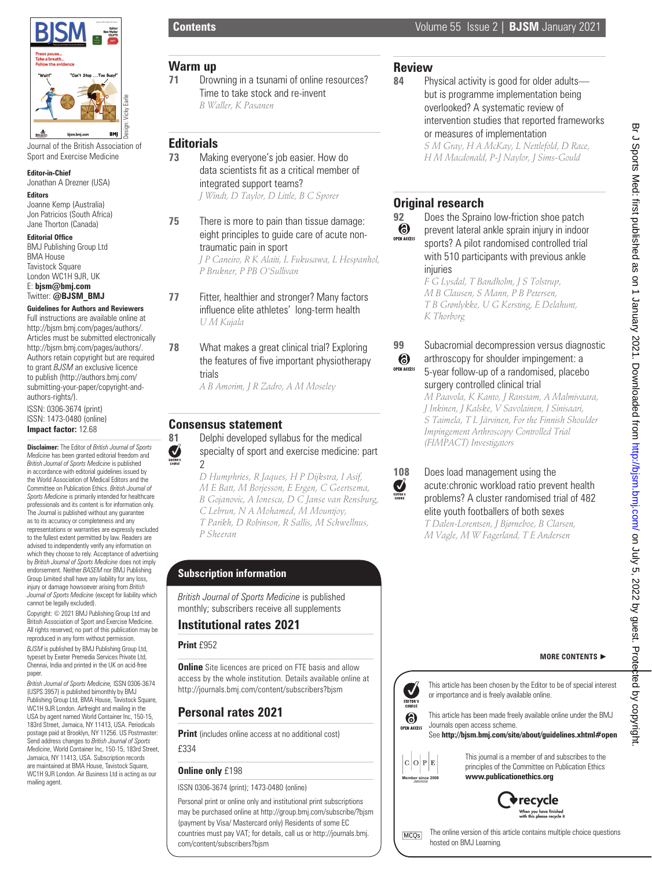

Journal of the British Association of Sport and Exercise Medicine

#### **Editor-in-Chief**

Jonathan A Drezner (USA)

# **Editors**

Joanne Kemp (Australia) Jon Patricios (South Africa) Jane Thorton (Canada)

#### **Editorial Office**

BMJ Publishing Group Ltd BMA House Tavistock Square London WC1H 9JR, UK E: **bjsm@bmj.com** Twitter: **@BJSM\_BMJ**

#### **Guidelines for Authors and Reviewers**

Full instructions are available online at http://bjsm.bmj.com/pages/authors/. Articles must be submitted electronically http://bjsm.bmj.com/pages/authors/. Authors retain copyright but are required to grant *BJSM* an exclusive licence to publish (http://authors.bmj.com/ submitting-your-paper/copyright-andauthors-rights/). ISSN: 0306-3674 (print) ISSN: 1473-0480 (online) **Impact factor:** 12.68

**Disclaimer:** The Editor of *British Journal of Sports Medicine* has been granted editorial freedom and *British Journal of Sports Medicine* is published in accordance with editorial guidelines issued by the World Association of Medical Editors and the Committee on Publication Ethics. *British Journal of Sports Medicine* is primarily intended for healthcare professionals and its content is for information only. The Journal is published without any guarantee as to its accuracy or completeness and any representations or warranties are expressly excluded to the fullest extent permitted by law. Readers are advised to independently verify any information on which they choose to rely. Acceptance of advertising by *British Journal of Sports Medicine* does not imply endorsement. Neither *BASEM* nor BMJ Publishing Group Limited shall have any liability for any loss, injury or damage howsoever arising from *British Journal of Sports Medicine* (except for liability which cannot be legally excluded).

Copyright: © 2021 BMJ Publishing Group Ltd and British Association of Sport and Exercise Medicine. All rights reserved; no part of this publication may be reproduced in any form without permission.

*BJSM* is published by BMJ Publishing Group Ltd, typeset by Exeter Premedia Services Private Ltd, Chennai, India and printed in the UK on acid-free paper.

*British Journal of Sports Medicine,* ISSN 0306-3674 (USPS 3957) is published bimonthly by BMJ Publishing Group Ltd, BMA House, Tavistock Square, WC1H 9JR London. Airfreight and mailing in the USA by agent named World Container Inc, 150-15, 183rd Street, Jamaica, NY 11413, USA. Periodicals postage paid at Brooklyn, NY 11256. US Postmaster: Send address changes to *British Journal of Sports Medicine*, World Container Inc, 150-15, 183rd Street, Jamaica, NY 11413, USA. Subscription records are maintained at BMA House, Tavistock Square WC1H 9JR London. Air Business Ltd is acting as our mailing agent.

## **Warm up**

**71** Drowning in a tsunami of online resources? Time to take stock and re-invent *B Waller, K Pasanen*

### **Editorials**

- **73** Making everyone's job easier. How do data scientists fit as a critical member of integrated support teams? *J Windt, D Taylor, D Little, B C Sporer*
- **75** There is more to pain than tissue damage: eight principles to quide care of acute nontraumatic pain in sport *J P Caneiro, R K Alaiti, L Fukusawa, L Hespanhol, P Brukner, P PB O'Sullivan*
- **77** Fitter, healthier and stronger? Many factors influence elite athletes' long-term health *U M Kujala*
- **78** What makes a great clinical trial? Exploring the features of five important physiotherapy trials

*A B Amorim, J R Zadro, A M Moseley*

## **Consensus statement**

 $\sum_{n=1}^{\infty}$ 

**81** Delphi developed syllabus for the medical specialty of sport and exercise medicine: part  $\mathfrak{p}$ 

> *D Humphries, R Jaques, H P Dijkstra, I Asif, M E Batt, M Borjesson, E Ergen, C Geertsema, B Gojanovic, A Ionescu, D C Janse van Rensburg, C Lebrun, N A Mohamed, M Mountjoy, T Parikh, D Robinson, R Sallis, M Schwellnus, P Sheeran*

# **Subscription information**

*British Journal of Sports Medicine* is published monthly; subscribers receive all supplements

### **Institutional rates 2021**

### **Print** £952

**Online** Site licences are priced on FTE basis and allow access by the whole institution. Details available online at http://journals.bmj.com/content/subscribers?bjsm

# **Personal rates 2021**

**Print** (includes online access at no additional cost)

£334

#### **Online only** £198

ISSN 0306-3674 (print); 1473-0480 (online)

Personal print or online only and institutional print subscriptions may be purchased online at http://group.bmj.com/subscribe/?bjsm (payment by Visa/ Mastercard only) Residents of some EC countries must pay VAT; for details, call us or http://journals.bmj. com/content/subscribers?bjsm

## **Review**

**84** Physical activity is good for older adults but is programme implementation being overlooked? A systematic review of intervention studies that reported frameworks or measures of implementation *S M Gray, H A McKay, L Nettlefold, D Race, H M Macdonald, P-J Naylor, J Sims-Gould*

# **Original research**





*M B Clausen, S Mann, P B Petersen, T B Grønlykke, U G Kersting, E Delahunt, K Thorborg*



Ø

### **99** Subacromial decompression versus diagnostic arthroscopy for shoulder impingement: a 5-year follow-up of a randomised, placebo surgery controlled clinical trial

*M Paavola, K Kanto, J Ranstam, A Malmivaara, J Inkinen, J Kalske, V Savolainen, I Sinisaari, S Taimela, T L Järvinen, For the Finnish Shoulder Impingement Arthroscopy Controlled Trial (FIMPACT) Investigators*

#### **108** Does load management using the acute:chronic workload ratio prevent health problems? A cluster randomised trial of 482 elite youth footballers of both sexes *T Dalen-Lorentsen, J Bjørneboe, B Clarsen, M Vagle, M W Fagerland, T E Andersen*

## **MORE CONTENTS** ►



This article has been chosen by the Editor to be of special interest or importance and is freely available online.

This article has been made freely available online under the BMJ Journals open access scheme.

#### See **http://bjsm.bmj.com/site/about/guidelines.xhtml#open**



This journal is a member of and subscribes to the principles of the Committee on Publication Ethics **www.publicationethics.org**



Br J Sports Med: first published as on 1 January 2021. Downloaded from http://bjsm.bmj.com/ on July 5, 2022 by guest. Protepted by copyrigh Br J Sports Med: first published as on 1 January 2021. Downloaded from <http://bjsm.bmj.com/> on July 5, 2022 by guest. Protepted by copyright.

The online version of this article contains multiple choice questions MCQs hosted on BMJ Learning.